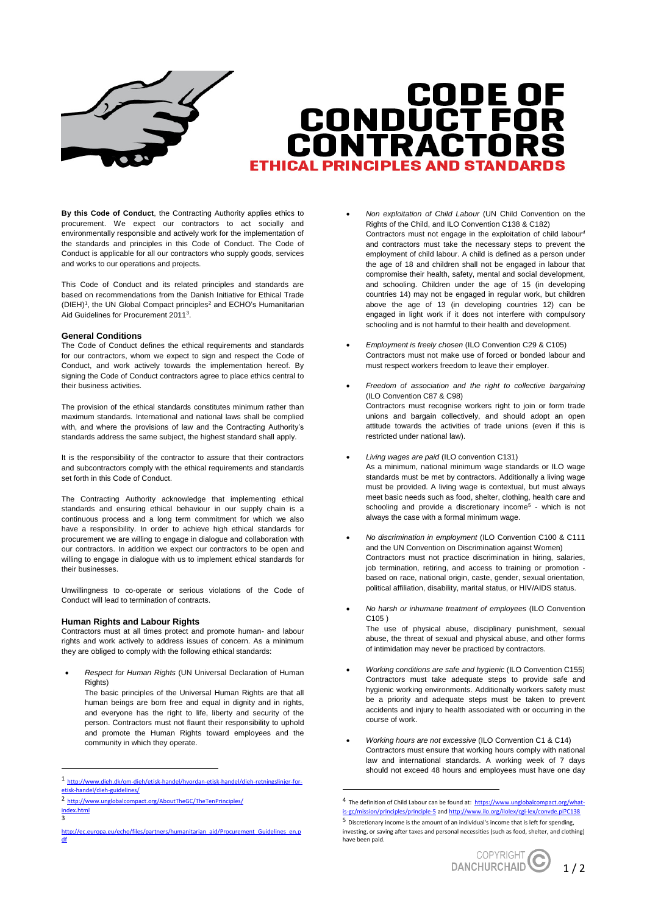

# **CODE OF<br>CONDUCT FOR<br>CONTRACTORS FTHICAL PRINCIPLES AND STANDAR**

**By this Code of Conduct**, the Contracting Authority applies ethics to procurement. We expect our contractors to act socially and environmentally responsible and actively work for the implementation of the standards and principles in this Code of Conduct. The Code of Conduct is applicable for all our contractors who supply goods, services and works to our operations and projects.

This Code of Conduct and its related principles and standards are based on recommendations from the Danish Initiative for Ethical Trade  $(DIEH)<sup>1</sup>$ , the UN Global Compact principles<sup>2</sup> and ECHO's Humanitarian Aid Guidelines for Procurement 2011<sup>3</sup> .

#### **General Conditions**

The Code of Conduct defines the ethical requirements and standards for our contractors, whom we expect to sign and respect the Code of Conduct, and work actively towards the implementation hereof. By signing the Code of Conduct contractors agree to place ethics central to their business activities.

The provision of the ethical standards constitutes minimum rather than maximum standards. International and national laws shall be complied with, and where the provisions of law and the Contracting Authority's standards address the same subject, the highest standard shall apply.

It is the responsibility of the contractor to assure that their contractors and subcontractors comply with the ethical requirements and standards set forth in this Code of Conduct.

The Contracting Authority acknowledge that implementing ethical standards and ensuring ethical behaviour in our supply chain is a continuous process and a long term commitment for which we also have a responsibility. In order to achieve high ethical standards for procurement we are willing to engage in dialogue and collaboration with our contractors. In addition we expect our contractors to be open and willing to engage in dialogue with us to implement ethical standards for their businesses.

Unwillingness to co-operate or serious violations of the Code of Conduct will lead to termination of contracts.

## **Human Rights and Labour Rights**

Contractors must at all times protect and promote human- and labour rights and work actively to address issues of concern. As a minimum they are obliged to comply with the following ethical standards:

 *Respect for Human Rights* (UN Universal Declaration of Human Rights)

The basic principles of the Universal Human Rights are that all human beings are born free and equal in dignity and in rights, and everyone has the right to life, liberty and security of the person. Contractors must not flaunt their responsibility to uphold and promote the Human Rights toward employees and the community in which they operate.

1

- *Non exploitation of Child Labour* (UN Child Convention on the Rights of the Child, and ILO Convention C138 & C182) Contractors must not engage in the exploitation of child labour*<sup>4</sup>* and contractors must take the necessary steps to prevent the employment of child labour. A child is defined as a person under the age of 18 and children shall not be engaged in labour that compromise their health, safety, mental and social development, and schooling. Children under the age of 15 (in developing countries 14) may not be engaged in regular work, but children above the age of 13 (in developing countries 12) can be engaged in light work if it does not interfere with compulsory schooling and is not harmful to their health and development.
- *Employment is freely chosen* (ILO Convention C29 & C105) Contractors must not make use of forced or bonded labour and must respect workers freedom to leave their employer.
- *Freedom of association and the right to collective bargaining*  (ILO Convention C87 & C98) Contractors must recognise workers right to join or form trade unions and bargain collectively, and should adopt an open attitude towards the activities of trade unions (even if this is restricted under national law).
- *Living wages are paid* (ILO convention C131) As a minimum, national minimum wage standards or ILO wage standards must be met by contractors. Additionally a living wage must be provided. A living wage is contextual, but must always meet basic needs such as food, shelter, clothing, health care and schooling and provide a discretionary income<sup>5</sup> - which is not always the case with a formal minimum wage.
- *No discrimination in employment* (ILO Convention C100 & C111 and the UN Convention on Discrimination against Women) Contractors must not practice discrimination in hiring, salaries, job termination, retiring, and access to training or promotion based on race, national origin, caste, gender, sexual orientation, political affiliation, disability, marital status, or HIV/AIDS status.
- *No harsh or inhumane treatment of employees* (ILO Convention C105 )

The use of physical abuse, disciplinary punishment, sexual abuse, the threat of sexual and physical abuse, and other forms of intimidation may never be practiced by contractors.

- *Working conditions are safe and hygienic* (ILO Convention C155) Contractors must take adequate steps to provide safe and hygienic working environments. Additionally workers safety must be a priority and adequate steps must be taken to prevent accidents and injury to health associated with or occurring in the course of work.
- *Working hours are not excessive* (ILO Convention C1 & C14) Contractors must ensure that working hours comply with national law and international standards. A working week of 7 days should not exceed 48 hours and employees must have one day

1

<sup>5</sup> Discretionary income is the amount of an individual's income that is left for spending, investing, or saving after taxes and personal necessities (such as food, shelter, and clothing) have been paid.



<sup>1</sup> [http://www.dieh.dk/om-dieh/etisk-handel/hvordan-etisk-handel/dieh-retningslinjer-for](http://www.dieh.dk/om-dieh/etisk-handel/hvordan-etisk-handel/dieh-retningslinjer-for-etisk-handel/dieh-guidelines/)[etisk-handel/dieh-guidelines/](http://www.dieh.dk/om-dieh/etisk-handel/hvordan-etisk-handel/dieh-retningslinjer-for-etisk-handel/dieh-guidelines/)

<sup>2</sup> [http://www.unglobalcompact.org/AboutTheGC/TheTenPrinciples/](https://www.unglobalcompact.org/what-is-gc/mission/principles) [index.html](https://www.unglobalcompact.org/what-is-gc/mission/principles)

 $\overline{2}$ 

http://ec.europa.eu/echo/files/partners/humanitarian\_aid/Procurement\_Guidelines <u>[df](http://ec.europa.eu/echo/files/partners/humanitarian_aid/Procurement_Guidelines_en.pdf)</u>

<sup>&</sup>lt;sup>4</sup> The definition of Child Labour can be found at: [https://www.unglobalcompact.org/what](https://www.unglobalcompact.org/what-is-gc/mission/principles/principle-5)[is-gc/mission/principles/principle-5](https://www.unglobalcompact.org/what-is-gc/mission/principles/principle-5) an[d http://www.ilo.org/ilolex/cgi-lex/convde.pl?C138](http://www.ilo.org/ilolex/cgi-lex/convde.pl?C138)